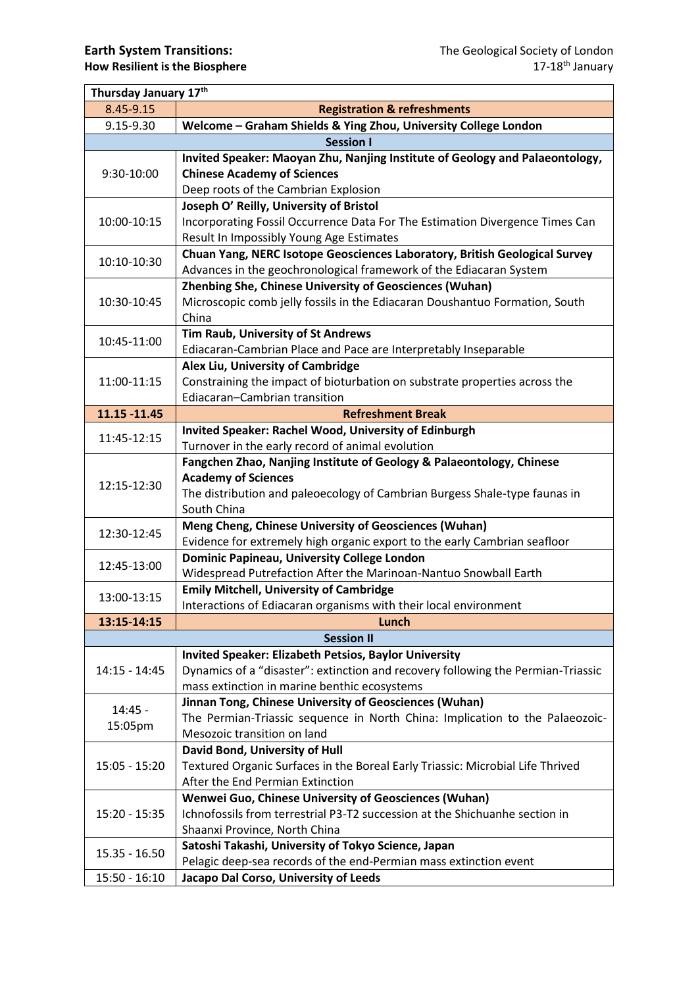| Thursday January 17th |                                                                                  |  |
|-----------------------|----------------------------------------------------------------------------------|--|
| 8.45-9.15             | <b>Registration &amp; refreshments</b>                                           |  |
| 9.15-9.30             | Welcome - Graham Shields & Ying Zhou, University College London                  |  |
|                       | <b>Session I</b>                                                                 |  |
| 9:30-10:00            | Invited Speaker: Maoyan Zhu, Nanjing Institute of Geology and Palaeontology,     |  |
|                       | <b>Chinese Academy of Sciences</b>                                               |  |
|                       | Deep roots of the Cambrian Explosion                                             |  |
| 10:00-10:15           | Joseph O' Reilly, University of Bristol                                          |  |
|                       | Incorporating Fossil Occurrence Data For The Estimation Divergence Times Can     |  |
|                       | Result In Impossibly Young Age Estimates                                         |  |
| 10:10-10:30           | Chuan Yang, NERC Isotope Geosciences Laboratory, British Geological Survey       |  |
|                       | Advances in the geochronological framework of the Ediacaran System               |  |
|                       | <b>Zhenbing She, Chinese University of Geosciences (Wuhan)</b>                   |  |
| 10:30-10:45           | Microscopic comb jelly fossils in the Ediacaran Doushantuo Formation, South      |  |
|                       | China                                                                            |  |
| 10:45-11:00           | Tim Raub, University of St Andrews                                               |  |
|                       | Ediacaran-Cambrian Place and Pace are Interpretably Inseparable                  |  |
|                       | Alex Liu, University of Cambridge                                                |  |
| 11:00-11:15           | Constraining the impact of bioturbation on substrate properties across the       |  |
|                       | Ediacaran-Cambrian transition                                                    |  |
| 11.15 - 11.45         | <b>Refreshment Break</b>                                                         |  |
| 11:45-12:15           | <b>Invited Speaker: Rachel Wood, University of Edinburgh</b>                     |  |
|                       | Turnover in the early record of animal evolution                                 |  |
|                       | Fangchen Zhao, Nanjing Institute of Geology & Palaeontology, Chinese             |  |
| 12:15-12:30           | <b>Academy of Sciences</b>                                                       |  |
|                       | The distribution and paleoecology of Cambrian Burgess Shale-type faunas in       |  |
|                       | South China                                                                      |  |
| 12:30-12:45           | Meng Cheng, Chinese University of Geosciences (Wuhan)                            |  |
|                       | Evidence for extremely high organic export to the early Cambrian seafloor        |  |
| 12:45-13:00           | Dominic Papineau, University College London                                      |  |
|                       | Widespread Putrefaction After the Marinoan-Nantuo Snowball Earth                 |  |
| 13:00-13:15           | <b>Emily Mitchell, University of Cambridge</b>                                   |  |
|                       | Interactions of Ediacaran organisms with their local environment                 |  |
| 13:15-14:15           | Lunch                                                                            |  |
| <b>Session II</b>     |                                                                                  |  |
|                       | <b>Invited Speaker: Elizabeth Petsios, Baylor University</b>                     |  |
| $14:15 - 14:45$       | Dynamics of a "disaster": extinction and recovery following the Permian-Triassic |  |
|                       | mass extinction in marine benthic ecosystems                                     |  |
| $14:45 -$             | Jinnan Tong, Chinese University of Geosciences (Wuhan)                           |  |
| 15:05pm               | The Permian-Triassic sequence in North China: Implication to the Palaeozoic-     |  |
|                       | Mesozoic transition on land                                                      |  |
|                       | David Bond, University of Hull                                                   |  |
| $15:05 - 15:20$       | Textured Organic Surfaces in the Boreal Early Triassic: Microbial Life Thrived   |  |
|                       | After the End Permian Extinction                                                 |  |
| $15:20 - 15:35$       | Wenwei Guo, Chinese University of Geosciences (Wuhan)                            |  |
|                       | Ichnofossils from terrestrial P3-T2 succession at the Shichuanhe section in      |  |
|                       | Shaanxi Province, North China                                                    |  |
| $15.35 - 16.50$       | Satoshi Takashi, University of Tokyo Science, Japan                              |  |
|                       | Pelagic deep-sea records of the end-Permian mass extinction event                |  |
| $15:50 - 16:10$       | Jacapo Dal Corso, University of Leeds                                            |  |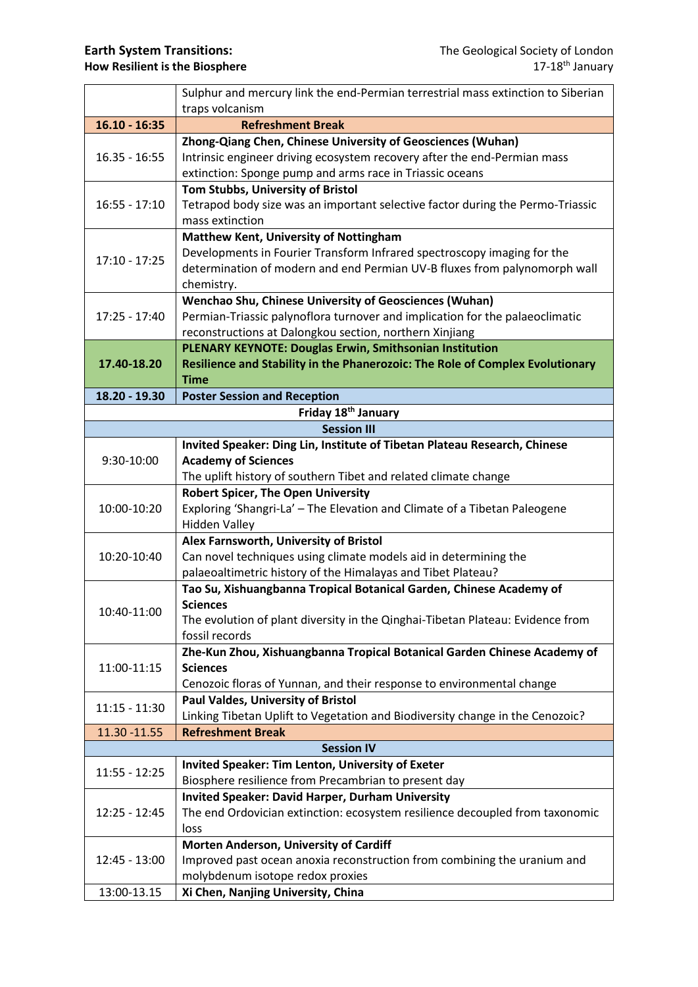|                                                                      | Sulphur and mercury link the end-Permian terrestrial mass extinction to Siberian                                                                     |  |
|----------------------------------------------------------------------|------------------------------------------------------------------------------------------------------------------------------------------------------|--|
|                                                                      | traps volcanism                                                                                                                                      |  |
| $16.10 - 16:35$                                                      | <b>Refreshment Break</b>                                                                                                                             |  |
| $16.35 - 16:55$                                                      | Zhong-Qiang Chen, Chinese University of Geosciences (Wuhan)                                                                                          |  |
|                                                                      | Intrinsic engineer driving ecosystem recovery after the end-Permian mass                                                                             |  |
|                                                                      | extinction: Sponge pump and arms race in Triassic oceans                                                                                             |  |
| $16:55 - 17:10$                                                      | Tom Stubbs, University of Bristol                                                                                                                    |  |
|                                                                      | Tetrapod body size was an important selective factor during the Permo-Triassic                                                                       |  |
|                                                                      | mass extinction                                                                                                                                      |  |
| $17:10 - 17:25$                                                      | <b>Matthew Kent, University of Nottingham</b>                                                                                                        |  |
|                                                                      | Developments in Fourier Transform Infrared spectroscopy imaging for the<br>determination of modern and end Permian UV-B fluxes from palynomorph wall |  |
|                                                                      |                                                                                                                                                      |  |
| chemistry.<br>Wenchao Shu, Chinese University of Geosciences (Wuhan) |                                                                                                                                                      |  |
| $17:25 - 17:40$                                                      | Permian-Triassic palynoflora turnover and implication for the palaeoclimatic                                                                         |  |
|                                                                      | reconstructions at Dalongkou section, northern Xinjiang                                                                                              |  |
|                                                                      | PLENARY KEYNOTE: Douglas Erwin, Smithsonian Institution                                                                                              |  |
| 17.40-18.20                                                          | Resilience and Stability in the Phanerozoic: The Role of Complex Evolutionary                                                                        |  |
|                                                                      | <b>Time</b>                                                                                                                                          |  |
| 18.20 - 19.30                                                        | <b>Poster Session and Reception</b>                                                                                                                  |  |
|                                                                      | Friday 18 <sup>th</sup> January                                                                                                                      |  |
|                                                                      | <b>Session III</b>                                                                                                                                   |  |
|                                                                      | Invited Speaker: Ding Lin, Institute of Tibetan Plateau Research, Chinese                                                                            |  |
| 9:30-10:00                                                           | <b>Academy of Sciences</b>                                                                                                                           |  |
|                                                                      | The uplift history of southern Tibet and related climate change                                                                                      |  |
|                                                                      | <b>Robert Spicer, The Open University</b>                                                                                                            |  |
| 10:00-10:20                                                          | Exploring 'Shangri-La' - The Elevation and Climate of a Tibetan Paleogene                                                                            |  |
|                                                                      | <b>Hidden Valley</b>                                                                                                                                 |  |
|                                                                      | Alex Farnsworth, University of Bristol                                                                                                               |  |
| 10:20-10:40                                                          | Can novel techniques using climate models aid in determining the                                                                                     |  |
|                                                                      | palaeoaltimetric history of the Himalayas and Tibet Plateau?                                                                                         |  |
|                                                                      | Tao Su, Xishuangbanna Tropical Botanical Garden, Chinese Academy of                                                                                  |  |
| 10:40-11:00                                                          | <b>Sciences</b>                                                                                                                                      |  |
|                                                                      | The evolution of plant diversity in the Qinghai-Tibetan Plateau: Evidence from<br>fossil records                                                     |  |
|                                                                      | Zhe-Kun Zhou, Xishuangbanna Tropical Botanical Garden Chinese Academy of                                                                             |  |
| 11:00-11:15                                                          | <b>Sciences</b>                                                                                                                                      |  |
|                                                                      | Cenozoic floras of Yunnan, and their response to environmental change                                                                                |  |
| $11:15 - 11:30$                                                      | <b>Paul Valdes, University of Bristol</b>                                                                                                            |  |
|                                                                      | Linking Tibetan Uplift to Vegetation and Biodiversity change in the Cenozoic?                                                                        |  |
| 11.30 - 11.55                                                        | <b>Refreshment Break</b>                                                                                                                             |  |
| <b>Session IV</b>                                                    |                                                                                                                                                      |  |
|                                                                      | <b>Invited Speaker: Tim Lenton, University of Exeter</b>                                                                                             |  |
| $11:55 - 12:25$                                                      | Biosphere resilience from Precambrian to present day                                                                                                 |  |
| 12:25 - 12:45                                                        | <b>Invited Speaker: David Harper, Durham University</b>                                                                                              |  |
|                                                                      | The end Ordovician extinction: ecosystem resilience decoupled from taxonomic                                                                         |  |
|                                                                      | loss                                                                                                                                                 |  |
| 12:45 - 13:00                                                        | Morten Anderson, University of Cardiff                                                                                                               |  |
|                                                                      | Improved past ocean anoxia reconstruction from combining the uranium and                                                                             |  |
|                                                                      | molybdenum isotope redox proxies                                                                                                                     |  |
| 13:00-13.15                                                          | Xi Chen, Nanjing University, China                                                                                                                   |  |